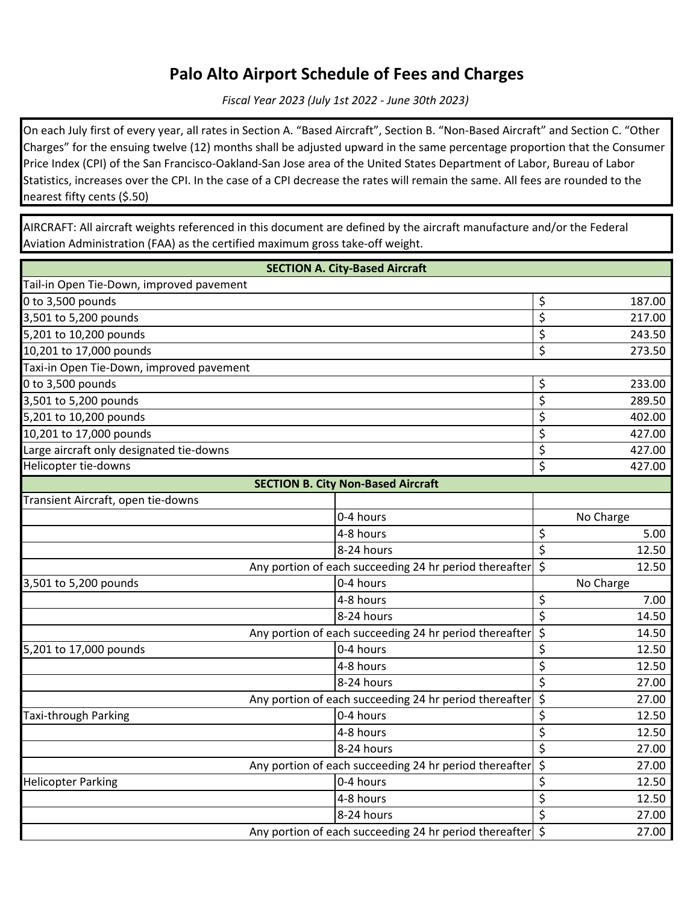## **Palo Alto Airport Schedule of Fees and Charges**

*Fiscal Year 2023 (July 1st 2022 - June 30th 2023)*

On each July first of every year, all rates in Section A. "Based Aircraft", Section B. "Non-Based Aircraft" and Section C. "Other Charges" for the ensuing twelve (12) months shall be adjusted upward in the same percentage proportion that the Consumer Price Index (CPI) of the San Francisco-Oakland-San Jose area of the United States Department of Labor, Bureau of Labor Statistics, increases over the CPI. In the case of a CPI decrease the rates will remain the same. All fees are rounded to the nearest fifty cents (\$.50)

AIRCRAFT: All aircraft weights referenced in this document are defined by the aircraft manufacture and/or the Federal Aviation Administration (FAA) as the certified maximum gross take-off weight.

| <b>SECTION A. City-Based Aircraft</b>                  |                         |                  |           |  |
|--------------------------------------------------------|-------------------------|------------------|-----------|--|
| Tail-in Open Tie-Down, improved pavement               |                         |                  |           |  |
| 0 to 3,500 pounds                                      |                         |                  | 187.00    |  |
| 3,501 to 5,200 pounds                                  |                         | \$               | 217.00    |  |
| 5,201 to 10,200 pounds                                 |                         | $\overline{\xi}$ | 243.50    |  |
| 10,201 to 17,000 pounds                                |                         | $\overline{\xi}$ | 273.50    |  |
| Taxi-in Open Tie-Down, improved pavement               |                         |                  |           |  |
| 0 to 3,500 pounds                                      |                         | \$               | 233.00    |  |
| 3,501 to 5,200 pounds                                  |                         | $\overline{\xi}$ | 289.50    |  |
| 5,201 to 10,200 pounds                                 |                         | \$               | 402.00    |  |
| 10,201 to 17,000 pounds                                |                         | $\overline{\xi}$ | 427.00    |  |
| Large aircraft only designated tie-downs               |                         | \$               | 427.00    |  |
| Helicopter tie-downs                                   |                         | $\overline{\xi}$ | 427.00    |  |
| <b>SECTION B. City Non-Based Aircraft</b>              |                         |                  |           |  |
| Transient Aircraft, open tie-downs                     |                         |                  |           |  |
|                                                        | 0-4 hours               |                  | No Charge |  |
|                                                        | 4-8 hours               | \$               | 5.00      |  |
|                                                        | 8-24 hours              | \$               | 12.50     |  |
| Any portion of each succeeding 24 hr period thereafter |                         | $\overline{\xi}$ | 12.50     |  |
| 3,501 to 5,200 pounds                                  | 0-4 hours               |                  | No Charge |  |
|                                                        | 4-8 hours               | \$               | 7.00      |  |
|                                                        | 8-24 hours              | $\overline{\xi}$ | 14.50     |  |
| Any portion of each succeeding 24 hr period thereafter |                         | $\overline{\xi}$ | 14.50     |  |
| 5,201 to 17,000 pounds                                 | 0-4 hours               | $\overline{\xi}$ | 12.50     |  |
|                                                        | 4-8 hours               | \$               | 12.50     |  |
|                                                        | 8-24 hours              | \$               | 27.00     |  |
| Any portion of each succeeding 24 hr period thereafter |                         | \$               | 27.00     |  |
| <b>Taxi-through Parking</b>                            | 0-4 hours               | \$               | 12.50     |  |
|                                                        | $\overline{4}$ -8 hours | $\overline{\xi}$ | 12.50     |  |
|                                                        | 8-24 hours              | $\overline{\xi}$ | 27.00     |  |
| Any portion of each succeeding 24 hr period thereafter |                         | $\overline{\xi}$ | 27.00     |  |
| <b>Helicopter Parking</b>                              | 0-4 hours               | \$               | 12.50     |  |
|                                                        | 4-8 hours               | $\overline{\xi}$ | 12.50     |  |
|                                                        | 8-24 hours              | \$               | 27.00     |  |
| Any portion of each succeeding 24 hr period thereafter |                         | $\zeta$          | 27.00     |  |